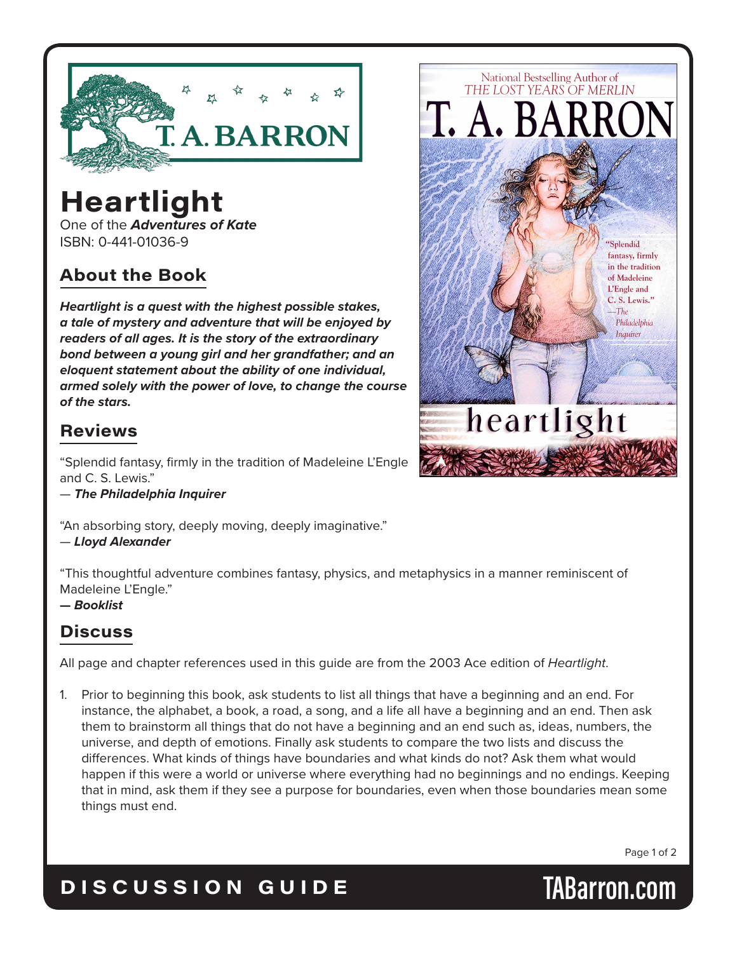

# **Heartlight**

One of the *Adventures of Kate* ISBN: 0-441-01036-9

## **About the Book**

*Heartlight is a quest with the highest possible stakes, a tale of mystery and adventure that will be enjoyed by readers of all ages. It is the story of the extraordinary bond between a young girl and her grandfather; and an eloquent statement about the ability of one individual, armed solely with the power of love, to change the course of the stars.*

## **Reviews**

"Splendid fantasy, firmly in the tradition of Madeleine L'Engle and C. S. Lewis."

— *The Philadelphia Inquirer*

"An absorbing story, deeply moving, deeply imaginative."

— *Lloyd Alexander*

"This thoughtful adventure combines fantasy, physics, and metaphysics in a manner reminiscent of Madeleine L'Engle."

#### **—** *Booklist*

## **Discuss**

All page and chapter references used in this guide are from the 2003 Ace edition of *Heartlight*.

Prior to beginning this book, ask students to list all things that have a beginning and an end. For instance, the alphabet, a book, a road, a song, and a life all have a beginning and an end. Then ask them to brainstorm all things that do not have a beginning and an end such as, ideas, numbers, the universe, and depth of emotions. Finally ask students to compare the two lists and discuss the differences. What kinds of things have boundaries and what kinds do not? Ask them what would happen if this were a world or universe where everything had no beginnings and no endings. Keeping that in mind, ask them if they see a purpose for boundaries, even when those boundaries mean some things must end.

Page 1 of 2

## **DISCUSSION GUIDE TABarron.com**